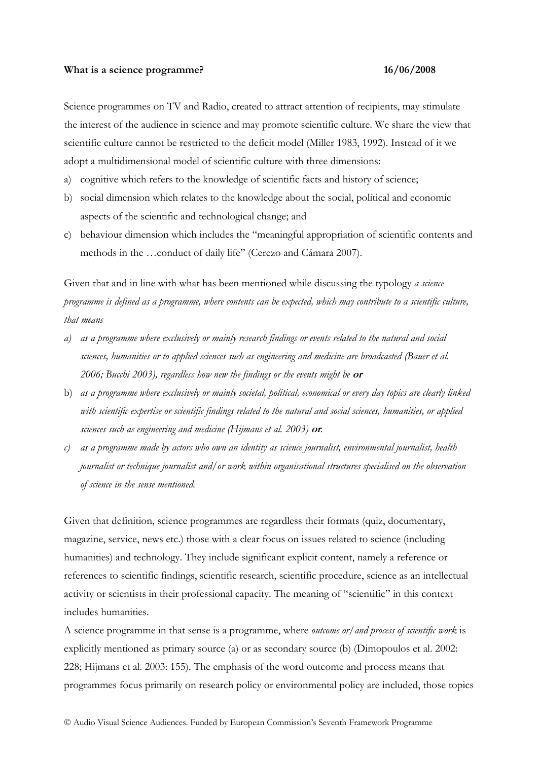#### What is a science programme? 16/06/2008

Science programmes on TV and Radio, created to attract attention of recipients, may stimulate the interest of the audience in science and may promote scientific culture. We share the view that scientific culture cannot be restricted to the deficit model (Miller 1983, 1992). Instead of it we adopt a multidimensional model of scientific culture with three dimensions:

a) cognitive which refers to the knowledge of scientific facts and history of science;

- b) social dimension which relates to the knowledge about the social, political and economic aspects of the scientific and technological change; and
- c) behaviour dimension which includes the "meaningful appropriation of scientific contents and methods in the …conduct of daily life" (Cerezo and Cámara 2007).

Given that and in line with what has been mentioned while discussing the typology *a science programme is defined as a programme, where contents can be expected, which may contribute to a scientific culture, that means*

- *a) as a programme where exclusively or mainly research findings or events related to the natural and social sciences, humanities or to applied sciences such as engineering and medicine are broadcasted (Bauer et al. 2006; Bucchi 2003), regardless how new the findings or the events might be* **or**
- b) *as a programme where exclusively or mainly societal, political, economical or every day topics are clearly linked with scientific expertise or scientific findings related to the natural and social sciences, humanities, or applied sciences such as engineering and medicine (Hijmans et al. 2003)* **or***.*
- *c) as a programme made by actors who own an identity as science journalist, environmental journalist, health journalist or technique journalist and/or work within organisational structures specialised on the observation of science in the sense mentioned.*

Given that definition, science programmes are regardless their formats (quiz, documentary, magazine, service, news etc.) those with a clear focus on issues related to science (including humanities) and technology. They include significant explicit content, namely a reference or references to scientific findings, scientific research, scientific procedure, science as an intellectual activity or scientists in their professional capacity. The meaning of "scientific" in this context includes humanities.

A science programme in that sense is a programme, where *outcome or/and process of scientific work* is explicitly mentioned as primary source (a) or as secondary source (b) (Dimopoulos et al. 2002: 228; Hijmans et al. 2003: 155). The emphasis of the word outcome and process means that programmes focus primarily on research policy or environmental policy are included, those topics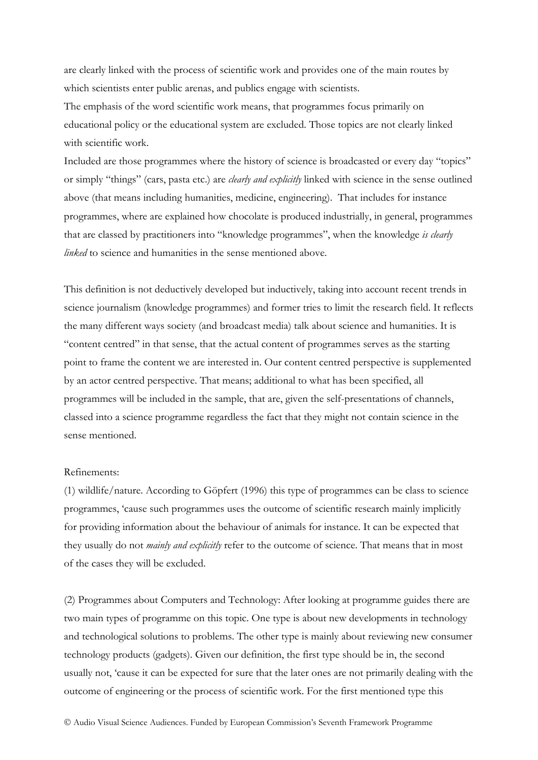are clearly linked with the process of scientific work and provides one of the main routes by which scientists enter public arenas, and publics engage with scientists.

The emphasis of the word scientific work means, that programmes focus primarily on educational policy or the educational system are excluded. Those topics are not clearly linked with scientific work.

Included are those programmes where the history of science is broadcasted or every day "topics" or simply "things" (cars, pasta etc.) are *clearly and explicitly* linked with science in the sense outlined above (that means including humanities, medicine, engineering). That includes for instance programmes, where are explained how chocolate is produced industrially, in general, programmes that are classed by practitioners into "knowledge programmes", when the knowledge *is clearly linked* to science and humanities in the sense mentioned above.

This definition is not deductively developed but inductively, taking into account recent trends in science journalism (knowledge programmes) and former tries to limit the research field. It reflects the many different ways society (and broadcast media) talk about science and humanities. It is "content centred" in that sense, that the actual content of programmes serves as the starting point to frame the content we are interested in. Our content centred perspective is supplemented by an actor centred perspective. That means; additional to what has been specified, all programmes will be included in the sample, that are, given the self-presentations of channels, classed into a science programme regardless the fact that they might not contain science in the sense mentioned.

# Refinements:

(1) wildlife/nature. According to Göpfert (1996) this type of programmes can be class to science programmes, 'cause such programmes uses the outcome of scientific research mainly implicitly for providing information about the behaviour of animals for instance. It can be expected that they usually do not *mainly and explicitly* refer to the outcome of science. That means that in most of the cases they will be excluded.

(2) Programmes about Computers and Technology: After looking at programme guides there are two main types of programme on this topic. One type is about new developments in technology and technological solutions to problems. The other type is mainly about reviewing new consumer technology products (gadgets). Given our definition, the first type should be in, the second usually not, 'cause it can be expected for sure that the later ones are not primarily dealing with the outcome of engineering or the process of scientific work. For the first mentioned type this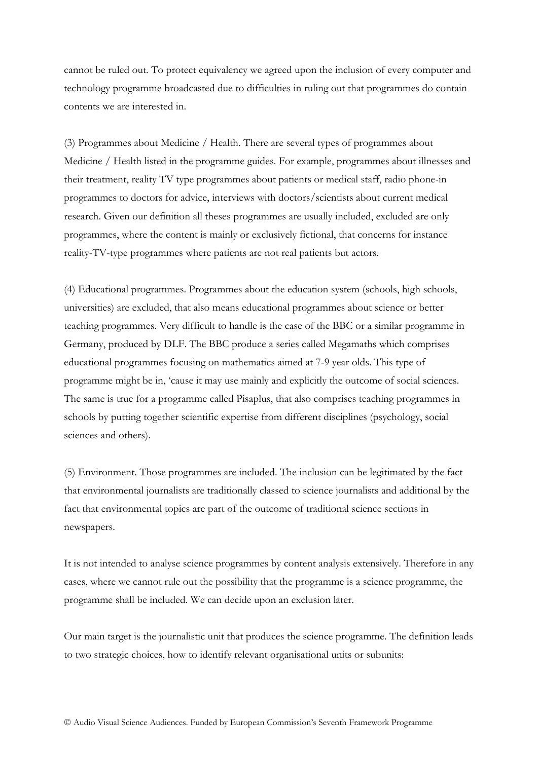cannot be ruled out. To protect equivalency we agreed upon the inclusion of every computer and technology programme broadcasted due to difficulties in ruling out that programmes do contain contents we are interested in.

(3) Programmes about Medicine / Health. There are several types of programmes about Medicine / Health listed in the programme guides. For example, programmes about illnesses and their treatment, reality TV type programmes about patients or medical staff, radio phone-in programmes to doctors for advice, interviews with doctors/scientists about current medical research. Given our definition all theses programmes are usually included, excluded are only programmes, where the content is mainly or exclusively fictional, that concerns for instance reality-TV-type programmes where patients are not real patients but actors.

(4) Educational programmes. Programmes about the education system (schools, high schools, universities) are excluded, that also means educational programmes about science or better teaching programmes. Very difficult to handle is the case of the BBC or a similar programme in Germany, produced by DLF. The BBC produce a series called Megamaths which comprises educational programmes focusing on mathematics aimed at 7-9 year olds. This type of programme might be in, 'cause it may use mainly and explicitly the outcome of social sciences. The same is true for a programme called Pisaplus, that also comprises teaching programmes in schools by putting together scientific expertise from different disciplines (psychology, social sciences and others).

(5) Environment. Those programmes are included. The inclusion can be legitimated by the fact that environmental journalists are traditionally classed to science journalists and additional by the fact that environmental topics are part of the outcome of traditional science sections in newspapers.

It is not intended to analyse science programmes by content analysis extensively. Therefore in any cases, where we cannot rule out the possibility that the programme is a science programme, the programme shall be included. We can decide upon an exclusion later.

Our main target is the journalistic unit that produces the science programme. The definition leads to two strategic choices, how to identify relevant organisational units or subunits: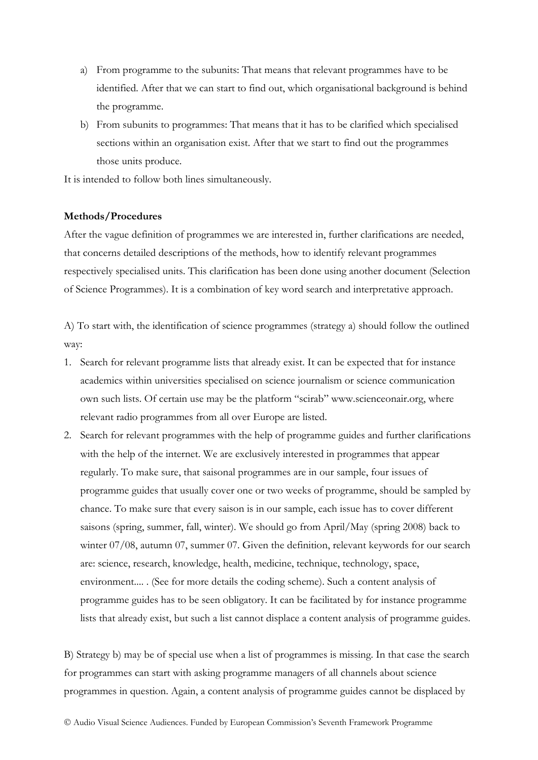- a) From programme to the subunits: That means that relevant programmes have to be identified. After that we can start to find out, which organisational background is behind the programme.
- b) From subunits to programmes: That means that it has to be clarified which specialised sections within an organisation exist. After that we start to find out the programmes those units produce.

It is intended to follow both lines simultaneously.

# **Methods/Procedures**

After the vague definition of programmes we are interested in, further clarifications are needed, that concerns detailed descriptions of the methods, how to identify relevant programmes respectively specialised units. This clarification has been done using another document (Selection of Science Programmes). It is a combination of key word search and interpretative approach.

A) To start with, the identification of science programmes (strategy a) should follow the outlined way:

- 1. Search for relevant programme lists that already exist. It can be expected that for instance academics within universities specialised on science journalism or science communication own such lists. Of certain use may be the platform "scirab" www.scienceonair.org, where relevant radio programmes from all over Europe are listed.
- 2. Search for relevant programmes with the help of programme guides and further clarifications with the help of the internet. We are exclusively interested in programmes that appear regularly. To make sure, that saisonal programmes are in our sample, four issues of programme guides that usually cover one or two weeks of programme, should be sampled by chance. To make sure that every saison is in our sample, each issue has to cover different saisons (spring, summer, fall, winter). We should go from April/May (spring 2008) back to winter 07/08, autumn 07, summer 07. Given the definition, relevant keywords for our search are: science, research, knowledge, health, medicine, technique, technology, space, environment.... . (See for more details the coding scheme). Such a content analysis of programme guides has to be seen obligatory. It can be facilitated by for instance programme lists that already exist, but such a list cannot displace a content analysis of programme guides.

B) Strategy b) may be of special use when a list of programmes is missing. In that case the search for programmes can start with asking programme managers of all channels about science programmes in question. Again, a content analysis of programme guides cannot be displaced by